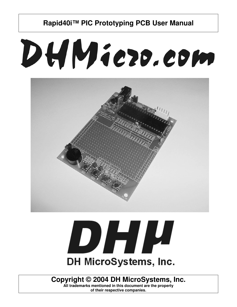# DHMiezo.com

**Rapid40i™ PIC Prototyping PCB User Manual**





**Copyright © 2004 DH MicroSystems, Inc.**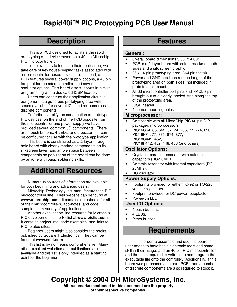## **Description**

This is a PCB designed to facilitate the rapid prototyping of a device based on a 40 pin Microchip PIC microcontroller.

To allow users to focus on their application, we take care of key housekeeping tasks associated with a microcontroller-based device. To this end, our PCB features several power supply options, a 40 pin footprint for the microcontroller, and several oscillator options. This board also supports in-circuit programming with a dedicated ICSP header.

Users can construct their application circuit in our generous a generous prototyping area with space available for several IC's and /or numerous discrete components.

To further simplify the construction of prototype PIC devices, on the end of the PCB opposite from the microcontroller and power supply we have provided several common I/O components. There are 4 push buttons, 4 LEDs, and a buzzer that can be configured for use with the prototype application.

This board is constructed as a 2-layer throughhole board with clearly marked components on its silkscreen layer, and ample space between components so population of the board can be done by anyone with basic soldering skills.

### **Additional Resources**

Numerous sources of information are available for both beginning and advanced users.

Microchip Technology Inc. manufactures the PIC microcontroller line. Their website can be found at **www.microchip.com**. It contains datasheets for all of their microcontrollers, app-notes, and code samples for a variety of applications.

Another excellent on-line resource for Microchip PIC development is the Piclist at **www.piclist.com**. It contains project info, code examples, and links to PIC related sites.

Beginner users might also consider the books published by Square 1 Electronics. They can be found at **www.sq-1.com**.

This list is by no means comprehensive. Many other excellent websites and publications are available and this list is only intended as a starting point for the beginner.

## **Features**

#### **General:**

- Overall board dimensions 3.00" x 4.00".
- PCB is a 2-layer board with solder masks on both sides and a silk screen graphic.
- 26 x 14 pin prototyping area (364 pins total).
- Power and GND bus lines run the length of the prototyping area on both sides (not included in proto total pin count).
- All 33 microcontroller port pins and ~MCLR pin brought out to a clearly labeled strip along the top of the prototyping area.
- ICSP header.
- 4 corner mounting holes.

#### **Microprocessor:**

- Compatible with all MicroChip PIC 40 pin DIP packaged microprocessors.
- PIC16C64, 65, 662, 67, 74, 765, 77, 774, 620, PIC16F74, 77, 871, 874, 877, PIC18C442, 452,
	- PIC18F442, 452, 448, 458 (and others).

#### **Oscillator Options:**

- Crystal or ceramic resonator with external capacitors (DC-20MHz).
- Ceramic resonator with internal capacitors (DC-20MHz).
- RC oscillator.

#### **Power Supply Options:**

- Footprints provided for either TO-92 or TO-220 voltage regulators.
- Footprint provided for DC power receptacle.

#### Power-on LED.

**User I/O Options:**

#### 4 push buttons.

- 4 LEDs.
- Piezo buzzer.

### **Requirements**

In order to assemble and use this board, a user needs to have basic electronic tools and some skill in their usage, and an 40 pin PIC microcontroller and the tools required to write code and program the executable file onto the controller. Additionally, if this board was purchased as a bare PCB, then a number of discrete components are also required to stock it.

**Copyright © 2004 DH MicroSystems, Inc. All trademarks mentioned in this document are the property of their respective companies.**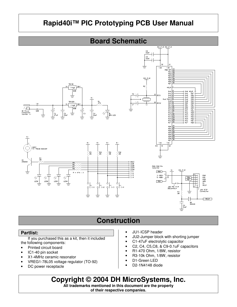## **Board Schematic**



## **Construction**

#### **Partlist:**

If you purchased this as a kit, then it included the following components:

- Printed circuit board
- IC1-40 pin socket
- X1-4MHz ceramic resonator
- VREG1-78L05 voltage regulator (TO-92)
- DC power receptacle
- JU1-ICSP header
- JU2-Jumper block with shorting jumper
- C1-47uF electrolytic capacitor
- C2, C4, C5,C8, & C9-0.1uF capacitors
- R1-470 Ohm, 1/8W, resistor
- R3-10k Ohm, 1/8W, resistor
- D1-Green LED
- D2-1N4148 diode

**Copyright © 2004 DH MicroSystems, Inc.**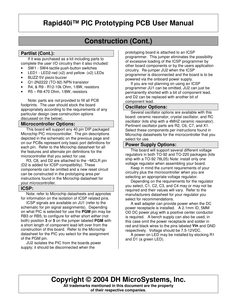## **Construction (Cont.)**

#### **Partlist (Cont.):**

If it was purchased as a kit including parts to complete the user I/O circuitry then it also included:

- SW1 SW4-tactile push-button switches
- LED1 LED2-red  $(x2)$  and yellow  $(x2)$  LEDs
- BUZZ-5V piezo buzzer
- Q1-2N2222 (TO-92) NPN transistor
- R4, & R9 R12-10k Ohm, 1/8W, resistors
- R5 R8-470 Ohm, 1/8W, resistors

Note: parts are *not* provided to fill all PCB footprints. The user should stock the board appropriately according to the requirements of any particular design (see construction options discussed on the below).

#### **Microcontroller Options:**

This board will support any 40 pin DIP packaged Microchip PIC microcontroller. The pin descriptions depicted in the schematic on the previous page and on our PCBs represent only basic port definitions for each pin. Refer to the Microchip datasheet for all the features and alternate pin definitions for the microcontroller that you select for use.

 R3, C8, and D2 are attached to the ~MCLR pin (D2 is added for ICSP compatibility). These components can be omitted and a new reset circuit can be constructed in the prototyping area per instructions found in the Microchip datasheet for your microcontroller.

#### **ICSP:**

 Note: refer to Microchip datasheets and appnotes for information on the isolation of ICSP related pins.

 ICSP signals are available on JU1 (refer to the schematic for pin signal assignments). Depending on what PIC is selected for use the **PGM** pin may be RB3 or RB5; to configure for either short *either* (not both) position **3** or **5** on the jumper labeled **PGM** with a short length of component lead left over from the construction of this board. Refer to the Microchip datasheet for the PIC you select for the assignment of the PGM pin.

 JU2 isolates the PIC from the boards power supply; it should be disconnected when the

prototyping board is attached to an ICSP programmer. This jumper eliminates the possibility of excessive loading of the ICSP programmer by other board components or by the users application circuitry. Re-jumper JU2 when the ICSP programmer is disconnected and the board is to be powered via the onboard power supply.

 If you are not planning on using an ICSP programmer JU1 can be omitted, JU2 can just be permanently shorted with a bit of component lead, and D2 can be replaced with another bit of component lead.

#### **Oscillator Options:**

 Several oscillator options are available with this board: ceramic resonator, crystal oscillator, and RC oscillator (kits ship with a 4MHZ ceramic resonator). Pertinent oscillator parts are R2, C6, C7, and X1. Select these components per instructions found in Microchip datasheets for the microcontroller that you select for use.

#### **Power Supply Options:**

 This board will support several different voltage regulators in both TO-92 and TO-220 packages (kits ship with a TO-92 78L05) Note: install only one voltage regulator when assembling your board.

 Keep in mind the current requirements of your circuitry plus the microcontroller when you are selecting an appropriate voltage regulator.

 Depending on the requirements for the regulator you select, C1, C2, C3, and C4 may or may not be required and their values will vary. Refer to the manufacturers datasheet for your regulator you select for recommendations.

 A wall adapter can provide power when the DC power receptacle is installed. A 2.1mm ID, 5MM OD DC power plug with a positive center conductor is required. A bench supply can also be used; in this case omit the power receptacle and solder in red and black wires to the pins labeled **Vin** and GND respectively. Voltage should be 7.5-12VDC.

 A power-on LED may be installed by stocking R1 and D1 (a green LED).

## **Copyright © 2004 DH MicroSystems, Inc.**